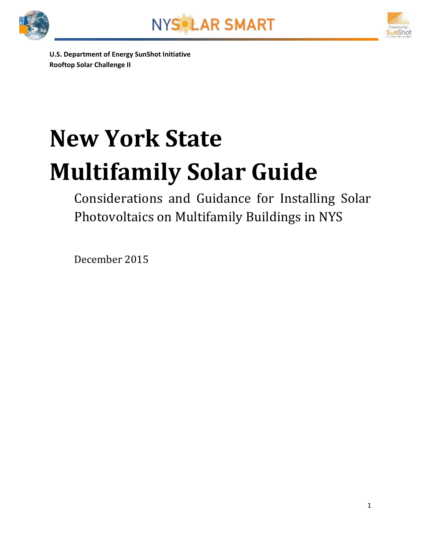





**U.S. Department of Energy SunShot Initiative Rooftop Solar Challenge II**

# **New York State Multifamily Solar Guide**

Considerations and Guidance for Installing Solar Photovoltaics on Multifamily Buildings in NYS

December 2015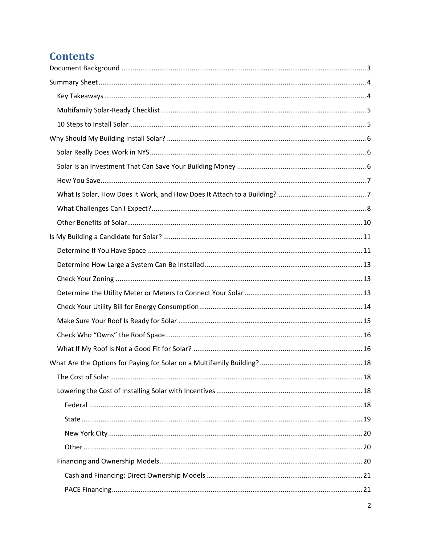## **Contents**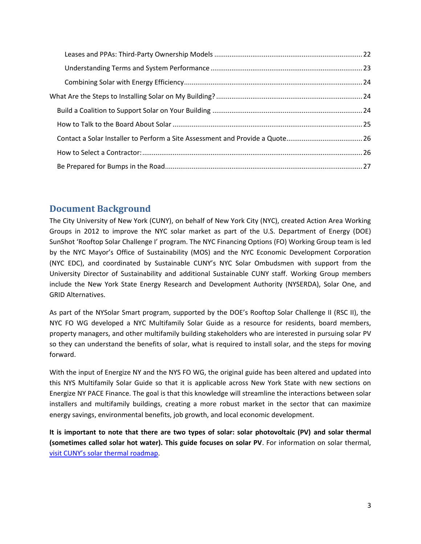## <span id="page-2-0"></span>**Document Background**

The City University of New York (CUNY), on behalf of New York City (NYC), created Action Area Working Groups in 2012 to improve the NYC solar market as part of the U.S. Department of Energy (DOE) SunShot 'Rooftop Solar Challenge I' program. The NYC Financing Options (FO) Working Group team is led by the NYC Mayor's Office of Sustainability (MOS) and the NYC Economic Development Corporation (NYC EDC), and coordinated by Sustainable CUNY's NYC Solar Ombudsmen with support from the University Director of Sustainability and additional Sustainable CUNY staff. Working Group members include the New York State Energy Research and Development Authority (NYSERDA), Solar One, and GRID Alternatives.

As part of the NYSolar Smart program, supported by the DOE's Rooftop Solar Challenge II (RSC II), the NYC FO WG developed a NYC Multifamily Solar Guide as a resource for residents, board members, property managers, and other multifamily building stakeholders who are interested in pursuing solar PV so they can understand the benefits of solar, what is required to install solar, and the steps for moving forward.

With the input of Energize NY and the NYS FO WG, the original guide has been altered and updated into this NYS Multifamily Solar Guide so that it is applicable across New York State with new sections on Energize NY PACE Finance. The goal is that this knowledge will streamline the interactions between solar installers and multifamily buildings, creating a more robust market in the sector that can maximize energy savings, environmental benefits, job growth, and local economic development.

**It is important to note that there are two types of solar: solar photovoltaic (PV) and solar thermal (sometimes called solar hot water). This guide focuses on solar PV**. For information on solar thermal, [visit CUNY's solar thermal roadmap](http://www.cuny.edu/about/resources/sustainability/solar-america/solarthermal.html).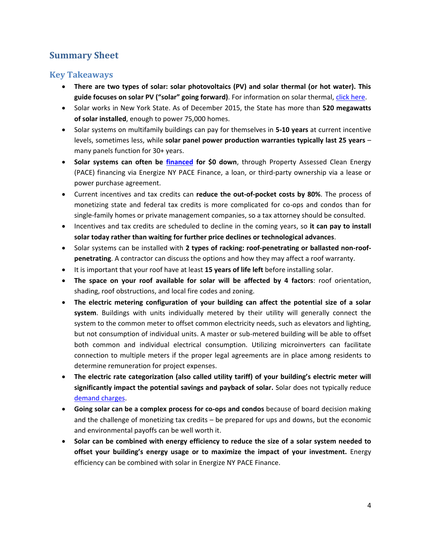## <span id="page-3-0"></span>**Summary Sheet**

## <span id="page-3-1"></span>**Key Takeaways**

- **There are two types of solar: solar photovoltaics (PV) and solar thermal (or hot water). This guide focuses on solar PV ("solar" going forward)**. For information on solar thermal, [click here.](http://www.cuny.edu/about/resources/sustainability/solar-america/solarthermal.html)
- Solar works in New York State. As of December 2015, the State has more than **520 megawatts of solar installed**, enough to power 75,000 homes.
- Solar systems on multifamily buildings can pay for themselves in **5-10 years** at current incentive levels, sometimes less, while **solar panel power production warranties typically last 25 years** – many panels function for 30+ years.
- **Solar systems can often be [financed](#page-19-2) for \$0 down**, through Property Assessed Clean Energy (PACE) financing via Energize NY PACE Finance, a loan, or third-party ownership via a lease or power purchase agreement.
- Current incentives and tax credits can **reduce the out-of-pocket costs by 80%**. The process of monetizing state and federal tax credits is more complicated for co-ops and condos than for single-family homes or private management companies, so a tax attorney should be consulted.
- Incentives and tax credits are scheduled to decline in the coming years, so **it can pay to install solar today rather than waiting for further price declines or technological advances**.
- Solar systems can be installed with 2 types of racking: roof-penetrating or ballasted non-roof**penetrating**. A contractor can discuss the options and how they may affect a roof warranty.
- It is important that your roof have at least **15 years of life left** before installing solar.
- **The space on your roof available for solar will be affected by 4 factors**: roof orientation, shading, roof obstructions, and local fire codes and zoning.
- **The electric metering configuration of your building can affect the potential size of a solar system**. Buildings with units individually metered by their utility will generally connect the system to the common meter to offset common electricity needs, such as elevators and lighting, but not consumption of individual units. A master or sub-metered building will be able to offset both common and individual electrical consumption. Utilizing microinverters can facilitate connection to multiple meters if the proper legal agreements are in place among residents to determine remuneration for project expenses.
- **The electric rate categorization (also called utility tariff) of your building's electric meter will significantly impact the potential savings and payback of solar.** Solar does not typically reduce [demand charges.](#page-13-0)
- **Going solar can be a complex process for co-ops and condos** because of board decision making and the challenge of monetizing tax credits – be prepared for ups and downs, but the economic and environmental payoffs can be well worth it.
- **Solar can be combined with energy efficiency to reduce the size of a solar system needed to offset your building's energy usage or to maximize the impact of your investment.** Energy efficiency can be combined with solar in Energize NY PACE Finance.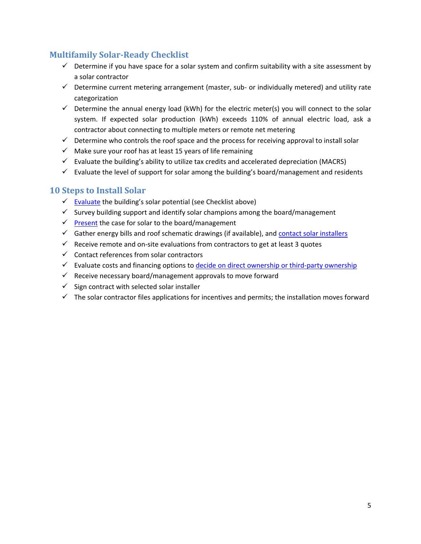## <span id="page-4-0"></span>**Multifamily Solar-Ready Checklist**

- $\checkmark$  Determine if you have space for a solar system and confirm suitability with a site assessment by a solar contractor
- $\checkmark$  Determine current metering arrangement (master, sub- or individually metered) and utility rate categorization
- $\checkmark$  Determine the annual energy load (kWh) for the electric meter(s) you will connect to the solar system. If expected solar production (kWh) exceeds 110% of annual electric load, ask a contractor about connecting to multiple meters or remote net metering
- $\checkmark$  Determine who controls the roof space and the process for receiving approval to install solar
- $\checkmark$  Make sure your roof has at least 15 years of life remaining
- $\checkmark$  Evaluate the building's ability to utilize tax credits and accelerated depreciation (MACRS)
- $\checkmark$  Evaluate the level of support for solar among the building's board/management and residents

## <span id="page-4-1"></span>**10 Steps to Install Solar**

- $\checkmark$  [Evaluate](#page-10-0) the building's solar potential (see Checklist above)
- $\checkmark$  Survey building support and identify solar champions among the board/management
- $\sqrt{\frac{Present}{P}}$  $\sqrt{\frac{Present}{P}}$  $\sqrt{\frac{Present}{P}}$  the case for solar to the board/management
- $\checkmark$  Gather energy bills and roof schematic drawings (if available), and [contact solar installers](#page-25-1)
- $\checkmark$  Receive remote and on-site evaluations from contractors to get at least 3 quotes
- $\checkmark$  Contact references from solar contractors
- $\checkmark$  Evaluate costs and financing options to [decide on direct ownership or third-party ownership](#page-19-2)
- $\checkmark$  Receive necessary board/management approvals to move forward
- $\checkmark$  Sign contract with selected solar installer
- $\checkmark$  The solar contractor files applications for incentives and permits; the installation moves forward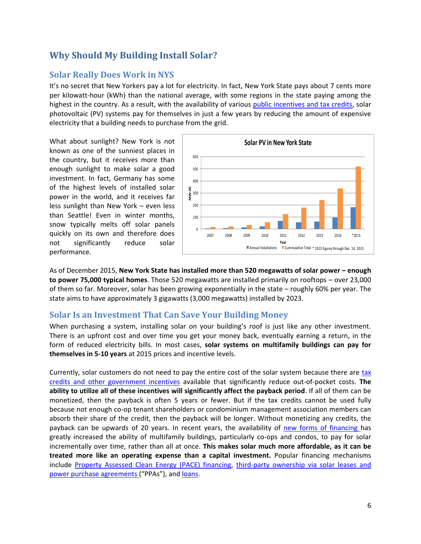## <span id="page-5-0"></span>**Why Should My Building Install Solar?**

## <span id="page-5-1"></span>**Solar Really Does Work in NYS**

It's no secret that New Yorkers pay a lot for electricity. In fact, New York State pays about 7 cents more per kilowatt-hour (kWh) than the national average, with some regions in the state paying among the highest in the country. As a result, with the availability of various [public incentives and tax credits,](#page-17-2) solar photovoltaic (PV) systems pay for themselves in just a few years by reducing the amount of expensive electricity that a building needs to purchase from the grid.

What about sunlight? New York is not known as one of the sunniest places in the country, but it receives more than enough sunlight to make solar a good investment. In fact, Germany has some of the highest levels of installed solar power in the world, and it receives far less sunlight than New York – even less than Seattle! Even in winter months, snow typically melts off solar panels quickly on its own and therefore does not significantly reduce solar performance.



As of December 2015, **New York State has installed more than 520 megawatts of solar power – enough to power 75,000 typical homes**. Those 520 megawatts are installed primarily on rooftops – over 23,000 of them so far. Moreover, solar has been growing exponentially in the state – roughly 60% per year. The state aims to have approximately 3 gigawatts (3,000 megawatts) installed by 2023.

## <span id="page-5-2"></span>**Solar Is an Investment That Can Save Your Building Money**

When purchasing a system, installing solar on your building's roof is just like any other investment. There is an upfront cost and over time you get your money back, eventually earning a return, in the form of reduced electricity bills. In most cases, **solar systems on multifamily buildings can pay for themselves in 5-10 years** at 2015 prices and incentive levels.

Currently, solar customers do not need to pay the entire cost of the solar system because there are [tax](#page-17-2)  [credits and other government incentives](#page-17-2) available that significantly reduce out-of-pocket costs. **The ability to utilize all of these incentives will significantly affect the payback period**. If all of them can be monetized, then the payback is often 5 years or fewer. But if the tax credits cannot be used fully because not enough co-op tenant shareholders or condominium management association members can absorb their share of the credit, then the payback will be longer. Without monetizing any credits, the payback can be upwards of 20 years. In recent years, the availability of [new forms of financing h](#page-19-2)as greatly increased the ability of multifamily buildings, particularly co-ops and condos, to pay for solar incrementally over time, rather than all at once. **This makes solar much more affordable, as it can be treated more like an operating expense than a capital investment.** Popular financing mechanisms include [Property Assessed Clean Energy \(PACE\) financing,](#page-20-1) third-party [ownership via](#page-21-0) solar leases and [power purchase agreements](#page-21-0) ("PPAs"), and [loans.](#page-20-0)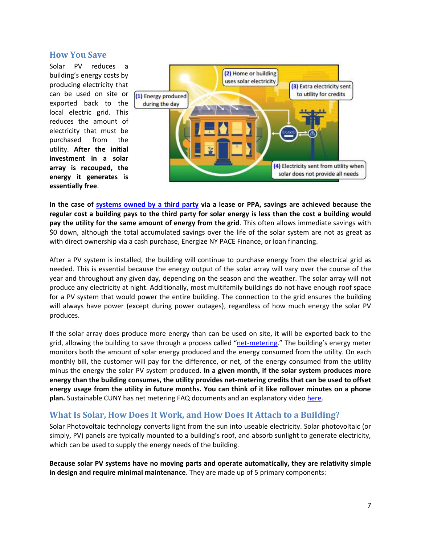#### <span id="page-6-0"></span>**How You Save**

Solar PV reduces a building's energy costs by producing electricity that can be used on site or exported back to the local electric grid. This reduces the amount of electricity that must be purchased from the utility. **After the initial investment in a solar array is recouped, the energy it generates is essentially free**.



**In the case of [systems owned by a third party](#page-21-0) via a lease or PPA, savings are achieved because the regular cost a building pays to the third party for solar energy is less than the cost a building would pay the utility for the same amount of energy from the grid**. This often allows immediate savings with \$0 down, although the total accumulated savings over the life of the solar system are not as great as with direct ownership via a cash purchase, Energize NY PACE Finance, or loan financing.

After a PV system is installed, the building will continue to purchase energy from the electrical grid as needed. This is essential because the energy output of the solar array will vary over the course of the year and throughout any given day, depending on the season and the weather. The solar array will not produce any electricity at night. Additionally, most multifamily buildings do not have enough roof space for a PV system that would power the entire building. The connection to the grid ensures the building will always have power (except during power outages), regardless of how much energy the solar PV produces.

If the solar array does produce more energy than can be used on site, it will be exported back to the grid, allowing the building to save through a process called "[net-metering.](http://www.cuny.edu/about/resources/sustainability/solar-america/installer-resources/CommercialNYSNetMeteringFAQ.pdf)" The building's energy meter monitors both the amount of solar energy produced and the energy consumed from the utility. On each monthly bill, the customer will pay for the difference, or net, of the energy consumed from the utility minus the energy the solar PV system produced. **In a given month, if the solar system produces more energy than the building consumes, the utility provides net-metering credits that can be used to offset energy usage from the utility in future months. You can think of it like rollover minutes on a phone plan.** Sustainable CUNY has net metering FAQ documents and an explanatory video [here.](http://www.cuny.edu/about/resources/sustainability/nyssolar/NYSNetMeteringAnalysis.html)

## <span id="page-6-1"></span>**What Is Solar, How Does It Work, and How Does It Attach to a Building?**

Solar Photovoltaic technology converts light from the sun into useable electricity. Solar photovoltaic (or simply, PV) panels are typically mounted to a building's roof, and absorb sunlight to generate electricity, which can be used to supply the energy needs of the building.

**Because solar PV systems have no moving parts and operate automatically, they are relativity simple in design and require minimal maintenance**. They are made up of 5 primary components: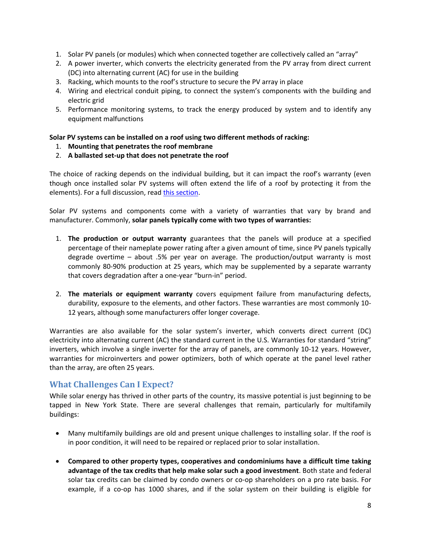- 1. Solar PV panels (or modules) which when connected together are collectively called an "array"
- 2. A power inverter, which converts the electricity generated from the PV array from direct current (DC) into alternating current (AC) for use in the building
- 3. Racking, which mounts to the roof's structure to secure the PV array in place
- 4. Wiring and electrical conduit piping, to connect the system's components with the building and electric grid
- 5. Performance monitoring systems, to track the energy produced by system and to identify any equipment malfunctions

#### **Solar PV systems can be installed on a roof using two different methods of racking:**

- 1. **Mounting that penetrates the roof membrane**
- 2. **A ballasted set-up that does not penetrate the roof**

The choice of racking depends on the individual building, but it can impact the roof's warranty (even though once installed solar PV systems will often extend the life of a roof by protecting it from the elements). For a full discussion, read [this section.](#page-14-0)

Solar PV systems and components come with a variety of warranties that vary by brand and manufacturer. Commonly, **solar panels typically come with two types of warranties:**

- 1. **The production or output warranty** guarantees that the panels will produce at a specified percentage of their nameplate power rating after a given amount of time, since PV panels typically degrade overtime – about .5% per year on average. The production/output warranty is most commonly 80-90% production at 25 years, which may be supplemented by a separate warranty that covers degradation after a one-year "burn-in" period.
- 2. **The materials or equipment warranty** covers equipment failure from manufacturing defects, durability, exposure to the elements, and other factors. These warranties are most commonly 10- 12 years, although some manufacturers offer longer coverage.

Warranties are also available for the solar system's inverter, which converts direct current (DC) electricity into alternating current (AC) the standard current in the U.S. Warranties for standard "string" inverters, which involve a single inverter for the array of panels, are commonly 10-12 years. However, warranties for microinverters and power optimizers, both of which operate at the panel level rather than the array, are often 25 years.

## <span id="page-7-0"></span>**What Challenges Can I Expect?**

While solar energy has thrived in other parts of the country, its massive potential is just beginning to be tapped in New York State. There are several challenges that remain, particularly for multifamily buildings:

- Many multifamily buildings are old and present unique challenges to installing solar. If the roof is in poor condition, it will need to be repaired or replaced prior to solar installation.
- **Compared to other property types, cooperatives and condominiums have a difficult time taking advantage of the tax credits that help make solar such a good investment**. Both state and federal solar tax credits can be claimed by condo owners or co-op shareholders on a pro rate basis. For example, if a co-op has 1000 shares, and if the solar system on their building is eligible for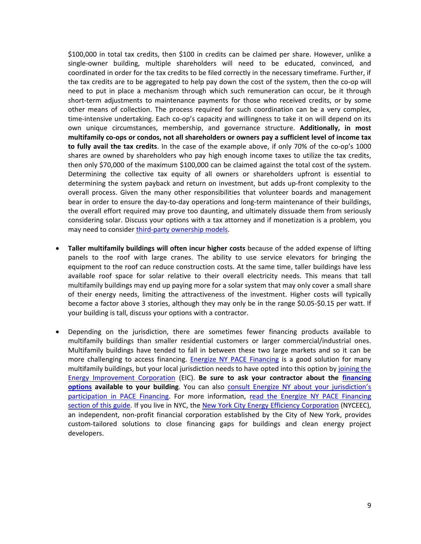\$100,000 in total tax credits, then \$100 in credits can be claimed per share. However, unlike a single-owner building, multiple shareholders will need to be educated, convinced, and coordinated in order for the tax credits to be filed correctly in the necessary timeframe. Further, if the tax credits are to be aggregated to help pay down the cost of the system, then the co-op will need to put in place a mechanism through which such remuneration can occur, be it through short-term adjustments to maintenance payments for those who received credits, or by some other means of collection. The process required for such coordination can be a very complex, time-intensive undertaking. Each co-op's capacity and willingness to take it on will depend on its own unique circumstances, membership, and governance structure. **Additionally, in most multifamily co-ops or condos, not all shareholders or owners pay a sufficient level of income tax to fully avail the tax credits**. In the case of the example above, if only 70% of the co-op's 1000 shares are owned by shareholders who pay high enough income taxes to utilize the tax credits, then only \$70,000 of the maximum \$100,000 can be claimed against the total cost of the system. Determining the collective tax equity of all owners or shareholders upfront is essential to determining the system payback and return on investment, but adds up-front complexity to the overall process. Given the many other responsibilities that volunteer boards and management bear in order to ensure the day-to-day operations and long-term maintenance of their buildings, the overall effort required may prove too daunting, and ultimately dissuade them from seriously considering solar. Discuss your options with a tax attorney and if monetization is a problem, you may need to consider [third-party ownership models.](#page-21-0)

- **Taller multifamily buildings will often incur higher costs** because of the added expense of lifting panels to the roof with large cranes. The ability to use service elevators for bringing the equipment to the roof can reduce construction costs. At the same time, taller buildings have less available roof space for solar relative to their overall electricity needs. This means that tall multifamily buildings may end up paying more for a solar system that may only cover a small share of their energy needs, limiting the attractiveness of the investment. Higher costs will typically become a factor above 3 stories, although they may only be in the range \$0.05-\$0.15 per watt. If your building is tall, discuss your options with a contractor.
- Depending on the jurisdiction, there are sometimes fewer financing products available to multifamily buildings than smaller residential customers or larger commercial/industrial ones. Multifamily buildings have tended to fall in between these two large markets and so it can be more challenging to access financing. [Energize NY PACE Financing](#page-20-1) is a good solution for many multifamily buildings, but your local jurisdiction needs to have opted into this option by [joining the](http://commercial.energizeny.org/municipality)  [Energy Improvement Corporation](http://commercial.energizeny.org/municipality) (EIC). **Be sure to ask your contractor about the [financing](#page-19-2)  [options](#page-19-2) available to your building**. You can also consult [Energize NY about your jurisdiction's](http://commercial.energizeny.org/participating_municipalities)  participation in [PACE Financing.](http://commercial.energizeny.org/participating_municipalities) For more information, read the Energize NY PACE Financing [section of this guide.](#page-20-1) If you live in NYC, the [New York City Energy Efficiency Corporation](http://nyceec.com/) (NYCEEC), an independent, non-profit financial corporation established by the City of New York, provides custom-tailored solutions to close financing gaps for buildings and clean energy project developers.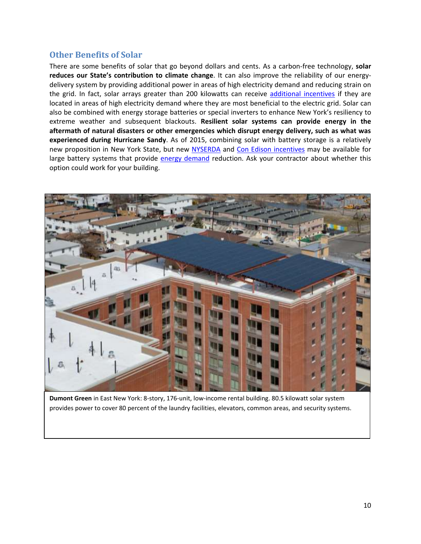## <span id="page-9-0"></span>**Other Benefits of Solar**

There are some benefits of solar that go beyond dollars and cents. As a carbon-free technology, **solar reduces our State's contribution to climate change**. It can also improve the reliability of our energydelivery system by providing additional power in areas of high electricity demand and reducing strain on the grid. In fact, solar arrays greater than 200 kilowatts can receive [additional incentives](http://www.cuny.edu/about/resources/sustainability/solar-america/sez.html) if they are located in areas of high electricity demand where they are most beneficial to the electric grid. Solar can also be combined with energy storage batteries or special inverters to enhance New York's resiliency to extreme weather and subsequent blackouts. **Resilient solar systems can provide energy in the aftermath of natural disasters or other emergencies which disrupt energy delivery, such as what was experienced during Hurricane Sandy**. As of 2015, combining solar with battery storage is a relatively new proposition in New York State, but new [NYSERDA](http://ny-sun.ny.gov/-/media/Files/FO/Current%20Funding%20Opportunities/PON%202112/CIProgramManual.pdf) and [Con Edison](http://www.coned.com/energyefficiency/demand_management_incentives.asp) incentives may be available for large battery systems that provide [energy demand](#page-13-0) reduction. Ask your contractor about whether this option could work for your building.



**Dumont Green** in East New York: 8-story, 176-unit, low-income rental building. 80.5 kilowatt solar system provides power to cover 80 percent of the laundry facilities, elevators, common areas, and security systems.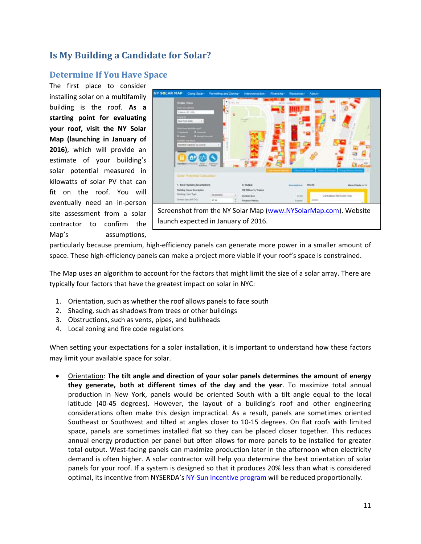## <span id="page-10-0"></span>**Is My Building a Candidate for Solar?**

## <span id="page-10-1"></span>**Determine If You Have Space**

The first place to consider installing solar on a multifamily building is the roof. **As a starting point for evaluating your roof, visit the NY Solar Map (launching in January of 2016)**, which will provide an estimate of your building's solar potential measured in kilowatts of solar PV that can fit on the roof. You will eventually need an in-person site assessment from a solar contractor to confirm the Map's assumptions,



particularly because premium, high-efficiency panels can generate more power in a smaller amount of space. These high-efficiency panels can make a project more viable if your roof's space is constrained.

The Map uses an algorithm to account for the factors that might limit the size of a solar array. There are typically four factors that have the greatest impact on solar in NYC:

- 1. Orientation, such as whether the roof allows panels to face south
- 2. Shading, such as shadows from trees or other buildings
- 3. Obstructions, such as vents, pipes, and bulkheads
- 4. Local zoning and fire code regulations

When setting your expectations for a solar installation, it is important to understand how these factors may limit your available space for solar.

 Orientation: **The tilt angle and direction of your solar panels determines the amount of energy they generate, both at different times of the day and the year**. To maximize total annual production in New York, panels would be oriented South with a tilt angle equal to the local latitude (40-45 degrees). However, the layout of a building's roof and other engineering considerations often make this design impractical. As a result, panels are sometimes oriented Southeast or Southwest and tilted at angles closer to 10-15 degrees. On flat roofs with limited space, panels are sometimes installed flat so they can be placed closer together. This reduces annual energy production per panel but often allows for more panels to be installed for greater total output. West-facing panels can maximize production later in the afternoon when electricity demand is often higher. A solar contractor will help you determine the best orientation of solar panels for your roof. If a system is designed so that it produces 20% less than what is considered optimal, its incentive from NYSERDA's [NY-Sun Incentive program](#page-18-0) will be reduced proportionally.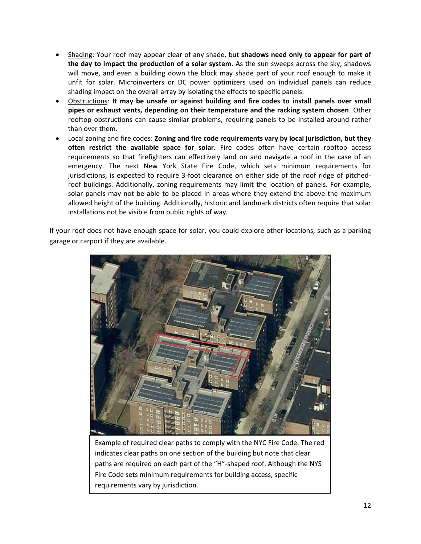- Shading: Your roof may appear clear of any shade, but **shadows need only to appear for part of the day to impact the production of a solar system**. As the sun sweeps across the sky, shadows will move, and even a building down the block may shade part of your roof enough to make it unfit for solar. Microinverters or DC power optimizers used on individual panels can reduce shading impact on the overall array by isolating the effects to specific panels.
- Obstructions: **It may be unsafe or against building and fire codes to install panels over small pipes or exhaust vents, depending on their temperature and the racking system chosen**. Other rooftop obstructions can cause similar problems, requiring panels to be installed around rather than over them.
- Local zoning and fire codes: **Zoning and fire code requirements vary by local jurisdiction, but they often restrict the available space for solar.** Fire codes often have certain rooftop access requirements so that firefighters can effectively land on and navigate a roof in the case of an emergency. The next New York State Fire Code, which sets minimum requirements for jurisdictions, is expected to require 3-foot clearance on either side of the roof ridge of pitchedroof buildings. Additionally, zoning requirements may limit the location of panels. For example, solar panels may not be able to be placed in areas where they extend the above the maximum allowed height of the building. Additionally, historic and landmark districts often require that solar installations not be visible from public rights of way.

If your roof does not have enough space for solar, you could explore other locations, such as a parking garage or carport if they are available.



Example of required clear paths to comply with the NYC Fire Code. The red indicates clear paths on one section of the building but note that clear paths are required on each part of the "H"-shaped roof. Although the NYS Fire Code sets minimum requirements for building access, specific requirements vary by jurisdiction.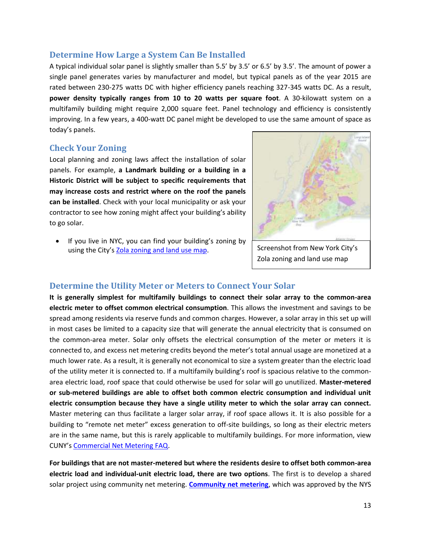#### <span id="page-12-0"></span>**Determine How Large a System Can Be Installed**

A typical individual solar panel is slightly smaller than 5.5' by 3.5' or 6.5' by 3.5'. The amount of power a single panel generates varies by manufacturer and model, but typical panels as of the year 2015 are rated between 230-275 watts DC with higher efficiency panels reaching 327-345 watts DC. As a result, **power density typically ranges from 10 to 20 watts per square foot**. A 30-kilowatt system on a multifamily building might require 2,000 square feet. Panel technology and efficiency is consistently improving. In a few years, a 400-watt DC panel might be developed to use the same amount of space as today's panels.

#### <span id="page-12-1"></span>**Check Your Zoning**

Local planning and zoning laws affect the installation of solar panels. For example, **a Landmark building or a building in a Historic District will be subject to specific requirements that may increase costs and restrict where on the roof the panels can be installed**. Check with your local municipality or ask your contractor to see how zoning might affect your building's ability to go solar.

 If you live in NYC, you can find your building's zoning by using the City's [Zola zoning and land use map.](http://maps.nyc.gov/doitt/nycitymap/template?applicationName=ZOLA)



Screenshot from New York City's Zola zoning and land use map

#### <span id="page-12-2"></span>**Determine the Utility Meter or Meters to Connect Your Solar**

**It is generally simplest for multifamily buildings to connect their solar array to the common-area electric meter to offset common electrical consumption**. This allows the investment and savings to be spread among residents via reserve funds and common charges. However, a solar array in this set up will in most cases be limited to a capacity size that will generate the annual electricity that is consumed on the common-area meter. Solar only offsets the electrical consumption of the meter or meters it is connected to, and excess net metering credits beyond the meter's total annual usage are monetized at a much lower rate. As a result, it is generally not economical to size a system greater than the electric load of the utility meter it is connected to. If a multifamily building's roof is spacious relative to the commonarea electric load, roof space that could otherwise be used for solar will go unutilized. **Master-metered or sub-metered buildings are able to offset both common electric consumption and individual unit electric consumption because they have a single utility meter to which the solar array can connect.** Master metering can thus facilitate a larger solar array, if roof space allows it. It is also possible for a building to "remote net meter" excess generation to off-site buildings, so long as their electric meters are in the same name, but this is rarely applicable to multifamily buildings. For more information, view CUNY's [Commercial Net Metering FAQ.](http://www.cuny.edu/about/resources/sustainability/solar-america/installer-resources/CommercialNYSNetMeteringFAQ.pdf)

**For buildings that are not master-metered but where the residents desire to offset both common-area electric load and individual-unit electric load, there are two options**. The first is to develop a shared solar project using community net metering. **[Community net metering](#page-16-0)**, which was approved by the NYS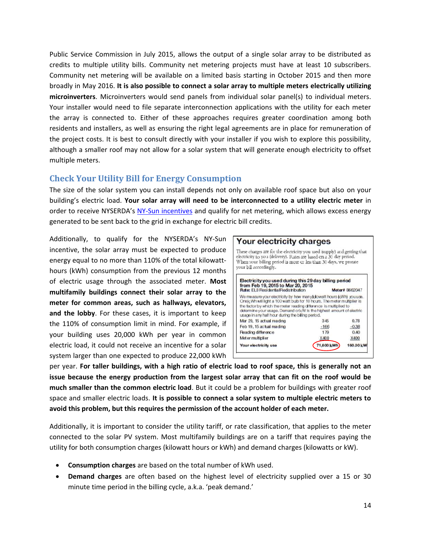Public Service Commission in July 2015, allows the output of a single solar array to be distributed as credits to multiple utility bills. Community net metering projects must have at least 10 subscribers. Community net metering will be available on a limited basis starting in October 2015 and then more broadly in May 2016. **It is also possible to connect a solar array to multiple meters electrically utilizing microinverters**. Microinverters would send panels from individual solar panel(s) to individual meters. Your installer would need to file separate interconnection applications with the utility for each meter the array is connected to. Either of these approaches requires greater coordination among both residents and installers, as well as ensuring the right legal agreements are in place for remuneration of the project costs. It is best to consult directly with your installer if you wish to explore this possibility, although a smaller roof may not allow for a solar system that will generate enough electricity to offset multiple meters.

## <span id="page-13-0"></span>**Check Your Utility Bill for Energy Consumption**

The size of the solar system you can install depends not only on available roof space but also on your building's electric load. **Your solar array will need to be interconnected to a utility electric meter** in order to receive NYSERDA's [NY-Sun incentives](#page-18-0) and qualify for net metering, which allows excess energy generated to be sent back to the grid in exchange for electric bill credits.

Additionally, to qualify for the NYSERDA's NY-Sun incentive, the solar array must be expected to produce energy equal to no more than 110% of the total kilowatthours (kWh) consumption from the previous 12 months of electric usage through the associated meter. **Most multifamily buildings connect their solar array to the meter for common areas, such as hallways, elevators, and the lobby**. For these cases, it is important to keep the 110% of consumption limit in mind. For example, if your building uses 20,000 kWh per year in common electric load, it could not receive an incentive for a solar system larger than one expected to produce 22,000 kWh



per year. **For taller buildings, with a high ratio of electric load to roof space, this is generally not an issue because the energy production from the largest solar array that can fit on the roof would be much smaller than the common electric load**. But it could be a problem for buildings with greater roof space and smaller electric loads. **It is possible to connect a solar system to multiple electric meters to avoid this problem, but this requires the permission of the account holder of each meter.**

Additionally, it is important to consider the utility tariff, or rate classification, that applies to the meter connected to the solar PV system. Most multifamily buildings are on a tariff that requires paying the utility for both consumption charges (kilowatt hours or kWh) and demand charges (kilowatts or kW).

- **Consumption charges** are based on the total number of kWh used.
- **Demand charges** are often based on the highest level of electricity supplied over a 15 or 30 minute time period in the billing cycle, a.k.a. 'peak demand.'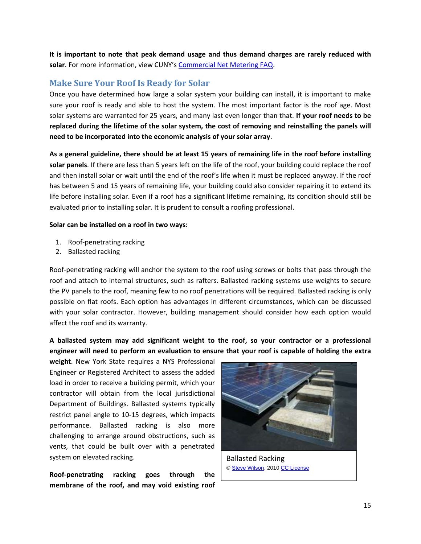**It is important to note that peak demand usage and thus demand charges are rarely reduced with solar**. For more information, view CUNY's [Commercial Net Metering FAQ.](http://www.cuny.edu/about/resources/sustainability/solar-america/installer-resources/CommercialNYSNetMeteringFAQ.pdf)

## <span id="page-14-0"></span>**Make Sure Your Roof Is Ready for Solar**

Once you have determined how large a solar system your building can install, it is important to make sure your roof is ready and able to host the system. The most important factor is the roof age. Most solar systems are warranted for 25 years, and many last even longer than that. **If your roof needs to be replaced during the lifetime of the solar system, the cost of removing and reinstalling the panels will need to be incorporated into the economic analysis of your solar array**.

**As a general guideline, there should be at least 15 years of remaining life in the roof before installing solar panels**. If there are less than 5 years left on the life of the roof, your building could replace the roof and then install solar or wait until the end of the roof's life when it must be replaced anyway. If the roof has between 5 and 15 years of remaining life, your building could also consider repairing it to extend its life before installing solar. Even if a roof has a significant lifetime remaining, its condition should still be evaluated prior to installing solar. It is prudent to consult a roofing professional.

#### **Solar can be installed on a roof in two ways:**

- 1. Roof-penetrating racking
- 2. Ballasted racking

Roof-penetrating racking will anchor the system to the roof using screws or bolts that pass through the roof and attach to internal structures, such as rafters. Ballasted racking systems use weights to secure the PV panels to the roof, meaning few to no roof penetrations will be required. Ballasted racking is only possible on flat roofs. Each option has advantages in different circumstances, which can be discussed with your solar contractor. However, building management should consider how each option would affect the roof and its warranty.

**A ballasted system may add significant weight to the roof, so your contractor or a professional engineer will need to perform an evaluation to ensure that your roof is capable of holding the extra** 

**weight**. New York State requires a NYS Professional Engineer or Registered Architect to assess the added load in order to receive a building permit, which your contractor will obtain from the local jurisdictional Department of Buildings. Ballasted systems typically restrict panel angle to 10-15 degrees, which impacts performance. Ballasted racking is also more challenging to arrange around obstructions, such as vents, that could be built over with a penetrated system on elevated racking.

**Roof-penetrating racking goes through the membrane of the roof, and may void existing roof** 



Ballasted Racking [© Steve Wilson,](https://www.flickr.com/photos/steve-wilson/4465111245/in/photolist-7NyS1D-7NyS8R) 201[0 CC License](https://creativecommons.org/licenses/by-nc/2.0/)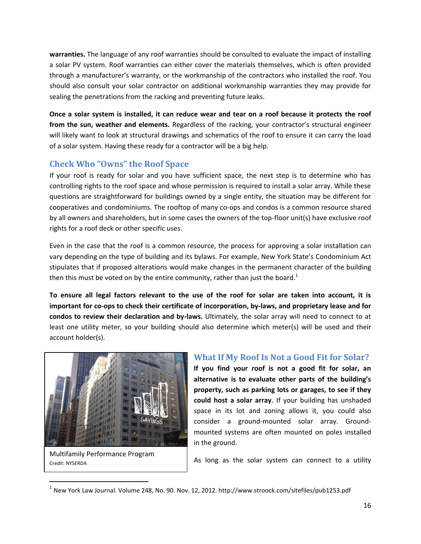**warranties.** The language of any roof warranties should be consulted to evaluate the impact of installing a solar PV system. Roof warranties can either cover the materials themselves, which is often provided through a manufacturer's warranty, or the workmanship of the contractors who installed the roof. You should also consult your solar contractor on additional workmanship warranties they may provide for sealing the penetrations from the racking and preventing future leaks.

**Once a solar system is installed, it can reduce wear and tear on a roof because it protects the roof from the sun, weather and elements.** Regardless of the racking, your contractor's structural engineer will likely want to look at structural drawings and schematics of the roof to ensure it can carry the load of a solar system. Having these ready for a contractor will be a big help.

## <span id="page-15-0"></span>**Check Who "Owns" the Roof Space**

If your roof is ready for solar and you have sufficient space, the next step is to determine who has controlling rights to the roof space and whose permission is required to install a solar array. While these questions are straightforward for buildings owned by a single entity, the situation may be different for cooperatives and condominiums. The rooftop of many co-ops and condos is a common resource shared by all owners and shareholders, but in some cases the owners of the top-floor unit(s) have exclusive roof rights for a roof deck or other specific uses.

Even in the case that the roof is a common resource, the process for approving a solar installation can vary depending on the type of building and its bylaws. For example, New York State's Condominium Act stipulates that if proposed alterations would make changes in the permanent character of the building then this must be voted on by the entire community, rather than just the board.<sup>1</sup>

**To ensure all legal factors relevant to the use of the roof for solar are taken into account, it is important for co-ops to check their certificate of incorporation, by-laws, and proprietary lease and for condos to review their declaration and by-laws.** Ultimately, the solar array will need to connect to at least one utility meter, so your building should also determine which meter(s) will be used and their account holder(s).



Multifamily Performance Program Credit: NYSERDA

 $\overline{\phantom{a}}$ 

#### <span id="page-15-1"></span>**What If My Roof Is Not a Good Fit for Solar?**

**If you find your roof is not a good fit for solar, an alternative is to evaluate other parts of the building's property, such as parking lots or garages, to see if they could host a solar array**. If your building has unshaded space in its lot and zoning allows it, you could also consider a ground-mounted solar array. Groundmounted systems are often mounted on poles installed in the ground.

As long as the solar system can connect to a utility

 $^{\rm 1}$  New York Law Journal. Volume 248, No. 90. Nov. 12, 2012. http://www.stroock.com/sitefiles/pub1253.pdf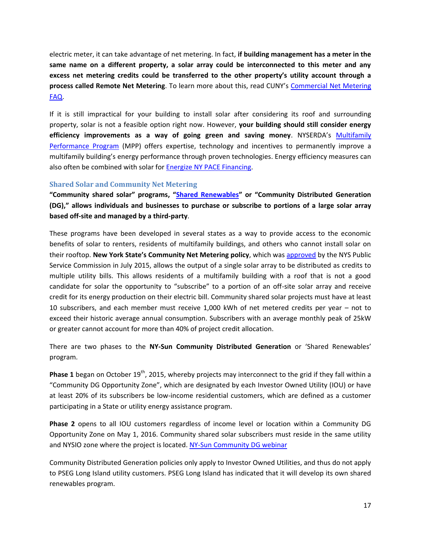electric meter, it can take advantage of net metering. In fact, **if building management has a meter in the same name on a different property, a solar array could be interconnected to this meter and any excess net metering credits could be transferred to the other property's utility account through a process called Remote Net Metering**. To learn more about this, read CUNY's [Commercial Net Metering](http://www.cuny.edu/about/resources/sustainability/solar-america/installer-resources/CommercialNYSNetMeteringFAQ.pdf)  [FAQ.](http://www.cuny.edu/about/resources/sustainability/solar-america/installer-resources/CommercialNYSNetMeteringFAQ.pdf)

If it is still impractical for your building to install solar after considering its roof and surrounding property, solar is not a feasible option right now. However, **your building should still consider energy efficiency improvements as a way of going green and saving money**. NYSERDA's [Multifamily](http://www.nyserda.ny.gov/Energy-Efficiency-and-Renewable-Programs/Multifamily-Performance-Program/Multifamily-Performance-Program.aspx)  [Performance Program](http://www.nyserda.ny.gov/Energy-Efficiency-and-Renewable-Programs/Multifamily-Performance-Program/Multifamily-Performance-Program.aspx) (MPP) offers expertise, technology and incentives to permanently improve a multifamily building's energy performance through proven technologies. Energy efficiency measures can also often be combined with solar for Energize [NY PACE Financing.](#page-20-1)

#### <span id="page-16-0"></span>**Shared Solar and Community Net Metering**

**"Community shared solar" programs, "[Shared Renewables](http://ny-sun.ny.gov/Get-Solar/Community-Solar)" or "Community Distributed Generation (DG)," allows individuals and businesses to purchase or subscribe to portions of a large solar array based off-site and managed by a third-party**.

These programs have been developed in several states as a way to provide access to the economic benefits of solar to renters, residents of multifamily buildings, and others who cannot install solar on their rooftop. **New York State's Community Net Metering policy**, which was [approved](http://documents.dps.ny.gov/public/Common/ViewDoc.aspx?DocRefId=%7b76520435-25ED-4B84-8477-6433CE88DA86%7d) by the NYS Public Service Commission in July 2015, allows the output of a single solar array to be distributed as credits to multiple utility bills. This allows residents of a multifamily building with a roof that is not a good candidate for solar the opportunity to "subscribe" to a portion of an off-site solar array and receive credit for its energy production on their electric bill. Community shared solar projects must have at least 10 subscribers, and each member must receive 1,000 kWh of net metered credits per year – not to exceed their historic average annual consumption. Subscribers with an average monthly peak of 25kW or greater cannot account for more than 40% of project credit allocation.

There are two phases to the **NY-Sun Community Distributed Generation** or 'Shared Renewables' program.

**Phase 1** began on October 19<sup>th</sup>, 2015, whereby projects may interconnect to the grid if they fall within a "Community DG Opportunity Zone", which are designated by each Investor Owned Utility (IOU) or have at least 20% of its subscribers be low-income residential customers, which are defined as a customer participating in a State or utility energy assistance program.

**Phase 2** opens to all IOU customers regardless of income level or location within a Community DG Opportunity Zone on May 1, 2016. Community shared solar subscribers must reside in the same utility and NYSIO zone where the project is located[. NY-Sun Community DG webinar](http://ny-sun.ny.gov/About/Stakeholder-Meetings) 

Community Distributed Generation policies only apply to Investor Owned Utilities, and thus do not apply to PSEG Long Island utility customers. PSEG Long Island has indicated that it will develop its own shared renewables program.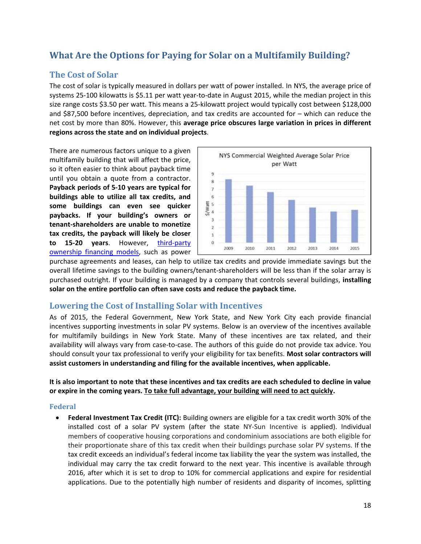## <span id="page-17-0"></span>**What Are the Options for Paying for Solar on a Multifamily Building?**

## <span id="page-17-1"></span>**The Cost of Solar**

The cost of solar is typically measured in dollars per watt of power installed. In NYS, the average price of systems 25-100 kilowatts is \$5.11 per watt year-to-date in August 2015, while the median project in this size range costs \$3.50 per watt. This means a 25-kilowatt project would typically cost between \$128,000 and \$87,500 before incentives, depreciation, and tax credits are accounted for – which can reduce the net cost by more than 80%. However, this **average price obscures large variation in prices in different regions across the state and on individual projects**.

There are numerous factors unique to a given multifamily building that will affect the price, so it often easier to think about payback time until you obtain a quote from a contractor. **Payback periods of 5-10 years are typical for buildings able to utilize all tax credits, and some buildings can even see quicker paybacks. If your building's owners or tenant-shareholders are unable to monetize tax credits, the payback will likely be closer to 15-20 years**. However, [third-party](#page-21-0)  [ownership](#page-21-0) financing models, such as power



purchase agreements and leases, can help to utilize tax credits and provide immediate savings but the overall lifetime savings to the building owners/tenant-shareholders will be less than if the solar array is purchased outright. If your building is managed by a company that controls several buildings, **installing solar on the entire portfolio can often save costs and reduce the payback time.**

#### <span id="page-17-2"></span>**Lowering the Cost of Installing Solar with Incentives**

As of 2015, the Federal Government, New York State, and New York City each provide financial incentives supporting investments in solar PV systems. Below is an overview of the incentives available for multifamily buildings in New York State. Many of these incentives are tax related, and their availability will always vary from case-to-case. The authors of this guide do not provide tax advice. You should consult your tax professional to verify your eligibility for tax benefits. **Most solar contractors will assist customers in understanding and filing for the available incentives, when applicable.**

**It is also important to note that these incentives and tax credits are each scheduled to decline in value or expire in the coming years. To take full advantage, your building will need to act quickly.**

#### <span id="page-17-3"></span>**Federal**

 **Federal Investment Tax Credit (ITC):** Building owners are eligible for a tax credit worth 30% of the installed cost of a solar PV system (after the state NY-Sun Incentive is applied). Individual members of cooperative housing corporations and condominium associations are both eligible for their proportionate share of this tax credit when their buildings purchase solar PV systems. If the tax credit exceeds an individual's federal income tax liability the year the system was installed, the individual may carry the tax credit forward to the next year. This incentive is available through 2016, after which it is set to drop to 10% for commercial applications and expire for residential applications. Due to the potentially high number of residents and disparity of incomes, splitting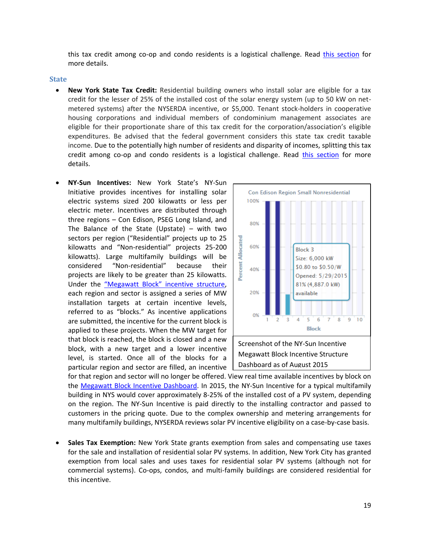this tax credit among co-op and condo residents is a logistical challenge. Read [this section](#page-7-0) for more details.

#### <span id="page-18-0"></span>**State**

- **New York State Tax Credit:** Residential building owners who install solar are eligible for a tax credit for the lesser of 25% of the installed cost of the solar energy system (up to 50 kW on netmetered systems) after the NYSERDA incentive, or \$5,000. Tenant stock-holders in cooperative housing corporations and individual members of condominium management associates are eligible for their proportionate share of this tax credit for the corporation/association's eligible expenditures. Be advised that the federal government considers this state tax credit taxable income. Due to the potentially high number of residents and disparity of incomes, splitting this tax credit among co-op and condo residents is a logistical challenge. Read [this section](#page-7-0) for more details.
- **NY-Sun Incentives:** New York State's NY-Sun Initiative provides incentives for installing solar electric systems sized 200 kilowatts or less per electric meter. Incentives are distributed through three regions – Con Edison, PSEG Long Island, and The Balance of the State (Upstate) – with two sectors per region ("Residential" projects up to 25 kilowatts and "Non-residential" projects 25-200 kilowatts). Large multifamily buildings will be considered "Non-residential" because their projects are likely to be greater than 25 kilowatts. Under the "Megawatt Block" [incentive structure,](http://ny-sun.ny.gov/For-Installers/Megawatt-Block-Incentive-Structure) each region and sector is assigned a series of MW installation targets at certain incentive levels, referred to as "blocks." As incentive applications are submitted, the incentive for the current block is applied to these projects. When the MW target for that block is reached, the block is closed and a new block, with a new target and a lower incentive level, is started. Once all of the blocks for a particular region and sector are filled, an incentive



for that region and sector will no longer be offered. View real time available incentives by block on the [Megawatt Block Incentive Dashboard.](http://ny-sun.ny.gov/For-Installers/Megawatt-Block-Incentive-Structure) In 2015, the NY-Sun Incentive for a typical multifamily building in NYS would cover approximately 8-25% of the installed cost of a PV system, depending on the region. The NY-Sun Incentive is paid directly to the installing contractor and passed to customers in the pricing quote. Due to the complex ownership and metering arrangements for many multifamily buildings, NYSERDA reviews solar PV incentive eligibility on a case-by-case basis.

 **Sales Tax Exemption:** New York State grants exemption from sales and compensating use taxes for the sale and installation of residential solar PV systems. In addition, New York City has granted exemption from local sales and uses taxes for residential solar PV systems (although not for commercial systems). Co-ops, condos, and multi-family buildings are considered residential for this incentive.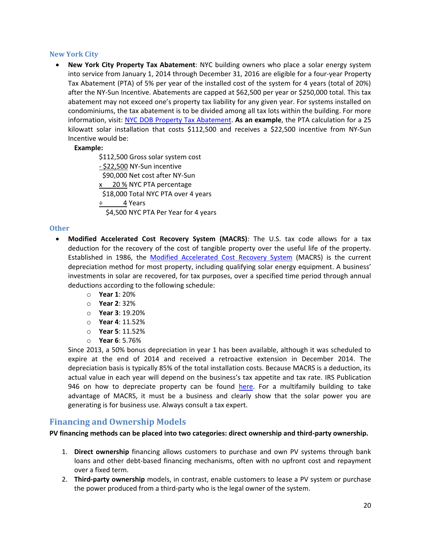#### <span id="page-19-0"></span>**New York City**

 **New York City Property Tax Abatement**: NYC building owners who place a solar energy system into service from January 1, 2014 through December 31, 2016 are eligible for a four-year Property Tax Abatement (PTA) of 5% per year of the installed cost of the system for 4 years (total of 20%) after the NY-Sun Incentive. Abatements are capped at \$62,500 per year or \$250,000 total. This tax abatement may not exceed one's property tax liability for any given year. For systems installed on condominiums, the tax abatement is to be divided among all tax lots within the building. For more information, visit: [NYC DOB Property Tax Abatement.](http://www.nyc.gov/html/dob/html/sustainability/solar_panels.shtml) **As an example**, the PTA calculation for a 25 kilowatt solar installation that costs \$112,500 and receives a \$22,500 incentive from NY-Sun Incentive would be:

#### **Example:**

\$112,500 Gross solar system cost - \$22,500 NY-Sun incentive \$90,000 Net cost after NY-Sun x 20 % NYC PTA percentage \$18,000 Total NYC PTA over 4 years  $\div$  4 Years \$4,500 NYC PTA Per Year for 4 years

#### <span id="page-19-1"></span>**Other**

- **Modified Accelerated Cost Recovery System (MACRS)**: The U.S. tax code allows for a tax deduction for the recovery of the cost of tangible property over the useful life of the property. Established in 1986, the [Modified Accelerated Cost Recovery System](http://www.seia.org/policy/finance-tax/depreciation-solar-energy-property-macrs) (MACRS) is the current depreciation method for most property, including qualifying solar energy equipment. A business' investments in solar are recovered, for tax purposes, over a specified time period through annual deductions according to the following schedule:
	- o **Year 1**: 20%
	- o **Year 2**: 32%
	- o **Year 3**: 19.20%
	- o **Year 4**: 11.52%
	- o **Year 5**: 11.52%
	- o **Year 6**: 5.76%

Since 2013, a 50% bonus depreciation in year 1 has been available, although it was scheduled to expire at the end of 2014 and received a retroactive extension in December 2014. The depreciation basis is typically 85% of the total installation costs. Because MACRS is a deduction, its actual value in each year will depend on the business's tax appetite and tax rate. IRS Publication 946 on how to depreciate property can be found [here.](http://apps.irs.gov/app/picklist/list/formsPublications.html;jsessionid=WWKhVVAu65hix9qbL1YNAg__?indexOfFirstRow=225&sortColumn=sortOrder&value=&criteria=&resultsPerPage=25&isDescending=false) For a multifamily building to take advantage of MACRS, it must be a business and clearly show that the solar power you are generating is for business use. Always consult a tax expert.

#### <span id="page-19-2"></span>**Financing and Ownership Models**

**PV financing methods can be placed into two categories: direct ownership and third-party ownership.**

- 1. **Direct ownership** financing allows customers to purchase and own PV systems through bank loans and other debt-based financing mechanisms, often with no upfront cost and repayment over a fixed term.
- 2. **Third-party ownership** models, in contrast, enable customers to lease a PV system or purchase the power produced from a third-party who is the legal owner of the system.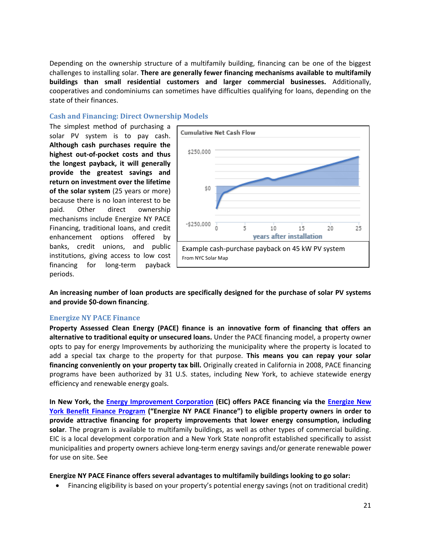Depending on the ownership structure of a multifamily building, financing can be one of the biggest challenges to installing solar. **There are generally fewer financing mechanisms available to multifamily buildings than small residential customers and larger commercial businesses.** Additionally, cooperatives and condominiums can sometimes have difficulties qualifying for loans, depending on the state of their finances.

#### <span id="page-20-0"></span>**Cash and Financing: Direct Ownership Models**

The simplest method of purchasing a solar PV system is to pay cash. **Although cash purchases require the highest out-of-pocket costs and thus the longest payback, it will generally provide the greatest savings and return on investment over the lifetime of the solar system** (25 years or more) because there is no loan interest to be paid. Other direct ownership mechanisms include Energize NY PACE Financing, traditional loans, and credit enhancement options offered by banks, credit unions, and public institutions, giving access to low cost financing for long-term payback periods.



**An increasing number of loan products are specifically designed for the purchase of solar PV systems and provide \$0-down financing**.

#### <span id="page-20-1"></span>**Energize NY PACE Finance**

**Property Assessed Clean Energy (PACE) finance is an innovative form of financing that offers an alternative to traditional equity or unsecured loans.** Under the PACE financing model, a property owner opts to pay for energy Improvements by authorizing the municipality where the property is located to add a special tax charge to the property for that purpose. **This means you can repay your solar financing conveniently on your property tax bill.** Originally created in California in 2008, PACE financing programs have been authorized by 31 U.S. states, including New York, to achieve statewide energy efficiency and renewable energy goals.

**In New York, the [Energy Improvement Corporation](http://energizeny.org/eic) (EIC) offers PACE financing via the [Energize New](http://commercial.energizeny.org/)  [York Benefit Finance Program](http://commercial.energizeny.org/) ("Energize NY PACE Finance") to eligible property owners in order to provide attractive financing for property improvements that lower energy consumption, including solar**. The program is available to multifamily buildings, as well as other types of commercial building. EIC is a local development corporation and a New York State nonprofit established specifically to assist municipalities and property owners achieve long-term energy savings and/or generate renewable power for use on site. See

#### **Energize NY PACE Finance offers several advantages to multifamily buildings looking to go solar:**

Financing eligibility is based on your property's potential energy savings (not on traditional credit)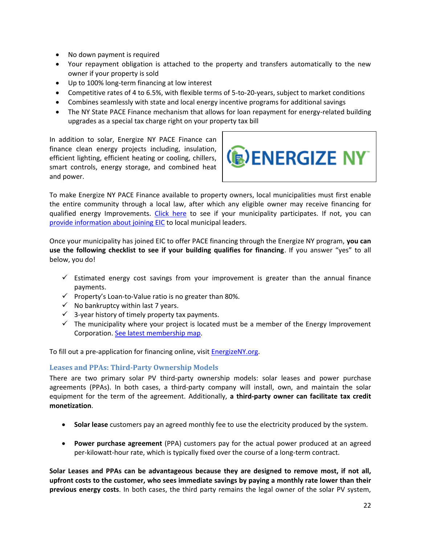- No down payment is required
- Your repayment obligation is attached to the property and transfers automatically to the new owner if your property is sold
- Up to 100% long-term financing at low interest
- Competitive rates of 4 to 6.5%, with flexible terms of 5-to-20-years, subject to market conditions
- Combines seamlessly with state and local energy incentive programs for additional savings
- The NY State PACE Finance mechanism that allows for loan repayment for energy-related building upgrades as a special tax charge right on your property tax bill

In addition to solar, Energize NY PACE Finance can finance clean energy projects including, insulation, efficient lighting, efficient heating or cooling, chillers, smart controls, energy storage, and combined heat and power.



To make Energize NY PACE Finance available to property owners, local municipalities must first enable the entire community through a local law, after which any eligible owner may receive financing for qualified energy Improvements. [Click here](http://commercial.energizeny.org/participating_municipalities) to see if your municipality participates. If not, you can [provide information about joining EIC](http://commercial.energizeny.org/municipality) to local municipal leaders.

Once your municipality has joined EIC to offer PACE financing through the Energize NY program, **you can use the following checklist to see if your building qualifies for financing**. If you answer "yes" to all below, you do!

- $\checkmark$  Estimated energy cost savings from your improvement is greater than the annual finance payments.
- $\checkmark$  Property's Loan-to-Value ratio is no greater than 80%.
- $\checkmark$  No bankruptcy within last 7 years.
- $\checkmark$  3-year history of timely property tax payments.
- $\checkmark$  The municipality where your project is located must be a member of the Energy Improvement Corporation. [See latest membership map.](http://commercial.energizeny.org/participating_municipalities)

To fill out a pre-application for financing online, visit [EnergizeNY.org.](http://www.energizeny.org/)

#### <span id="page-21-0"></span>**Leases and PPAs: Third-Party Ownership Models**

There are two primary solar PV third-party ownership models: solar leases and power purchase agreements (PPAs). In both cases, a third-party company will install, own, and maintain the solar equipment for the term of the agreement. Additionally, **a third-party owner can facilitate tax credit monetization**.

- **Solar lease** customers pay an agreed monthly fee to use the electricity produced by the system.
- **Power purchase agreement** (PPA) customers pay for the actual power produced at an agreed per-kilowatt-hour rate, which is typically fixed over the course of a long-term contract.

**Solar Leases and PPAs can be advantageous because they are designed to remove most, if not all, upfront costs to the customer, who sees immediate savings by paying a monthly rate lower than their previous energy costs**. In both cases, the third party remains the legal owner of the solar PV system,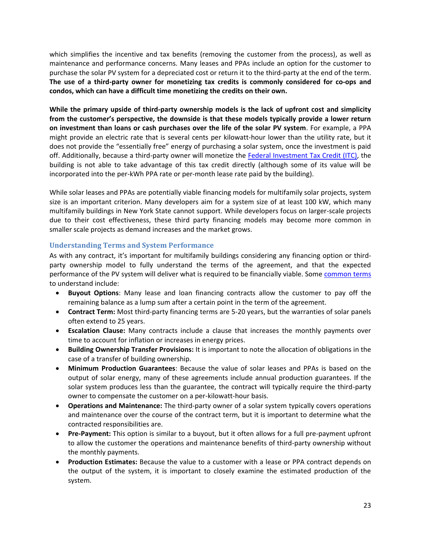which simplifies the incentive and tax benefits (removing the customer from the process), as well as maintenance and performance concerns. Many leases and PPAs include an option for the customer to purchase the solar PV system for a depreciated cost or return it to the third-party at the end of the term. **The use of a third-party owner for monetizing tax credits is commonly considered for co-ops and condos, which can have a difficult time monetizing the credits on their own.**

**While the primary upside of third-party ownership models is the lack of upfront cost and simplicity from the customer's perspective, the downside is that these models typically provide a lower return on investment than loans or cash purchases over the life of the solar PV system**. For example, a PPA might provide an electric rate that is several cents per kilowatt-hour lower than the utility rate, but it does not provide the "essentially free" energy of purchasing a solar system, once the investment is paid off. Additionally, because a third-party owner will monetize the [Federal Investment Tax Credit \(ITC\),](#page-17-3) the building is not able to take advantage of this tax credit directly (although some of its value will be incorporated into the per-kWh PPA rate or per-month lease rate paid by the building).

While solar leases and PPAs are potentially viable financing models for multifamily solar projects, system size is an important criterion. Many developers aim for a system size of at least 100 kW, which many multifamily buildings in New York State cannot support. While developers focus on larger-scale projects due to their cost effectiveness, these third party financing models may become more common in smaller scale projects as demand increases and the market grows.

#### <span id="page-22-0"></span>**Understanding Terms and System Performance**

As with any contract, it's important for multifamily buildings considering any financing option or thirdparty ownership model to fully understand the terms of the agreement, and that the expected performance of the PV system will deliver what is required to be financially viable. Some [common terms](http://www.cesa.org/assets/2015-Files/Homeowners-Guide-to-Solar-Financing.pdf) to understand include:

- **Buyout Options**: Many lease and loan financing contracts allow the customer to pay off the remaining balance as a lump sum after a certain point in the term of the agreement.
- **Contract Term:** Most third-party financing terms are 5-20 years, but the warranties of solar panels often extend to 25 years.
- **Escalation Clause:** Many contracts include a clause that increases the monthly payments over time to account for inflation or increases in energy prices.
- **Building Ownership Transfer Provisions:** It is important to note the allocation of obligations in the case of a transfer of building ownership.
- **Minimum Production Guarantees**: Because the value of solar leases and PPAs is based on the output of solar energy, many of these agreements include annual production guarantees. If the solar system produces less than the guarantee, the contract will typically require the third-party owner to compensate the customer on a per-kilowatt-hour basis.
- **Operations and Maintenance:** The third-party owner of a solar system typically covers operations and maintenance over the course of the contract term, but it is important to determine what the contracted responsibilities are.
- **Pre-Payment:** This option is similar to a buyout, but it often allows for a full pre-payment upfront to allow the customer the operations and maintenance benefits of third-party ownership without the monthly payments.
- **Production Estimates:** Because the value to a customer with a lease or PPA contract depends on the output of the system, it is important to closely examine the estimated production of the system.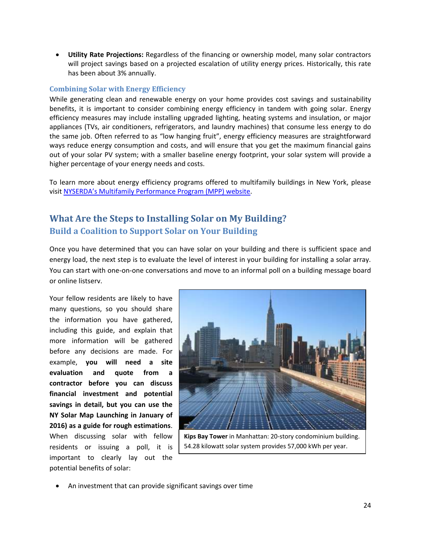**Utility Rate Projections:** Regardless of the financing or ownership model, many solar contractors will project savings based on a projected escalation of utility energy prices. Historically, this rate has been about 3% annually.

#### <span id="page-23-0"></span>**Combining Solar with Energy Efficiency**

While generating clean and renewable energy on your home provides cost savings and sustainability benefits, it is important to consider combining energy efficiency in tandem with going solar. Energy efficiency measures may include installing upgraded lighting, heating systems and insulation, or major appliances (TVs, air conditioners, refrigerators, and laundry machines) that consume less energy to do the same job. Often referred to as "low hanging fruit", energy efficiency measures are straightforward ways reduce energy consumption and costs, and will ensure that you get the maximum financial gains out of your solar PV system; with a smaller baseline energy footprint, your solar system will provide a higher percentage of your energy needs and costs.

To learn more about energy efficiency programs offered to multifamily buildings in New York, please visit [NYSERDA's Multifamily Performance Program \(MPP\) website](http://www.nyserda.ny.gov/Energy-Efficiency-and-Renewable-Programs/Multifamily-Performance-Program/Multifamily-Performance-Program.aspx).

## <span id="page-23-2"></span><span id="page-23-1"></span>**What Are the Steps to Installing Solar on My Building? Build a Coalition to Support Solar on Your Building**

Once you have determined that you can have solar on your building and there is sufficient space and energy load, the next step is to evaluate the level of interest in your building for installing a solar array. You can start with one-on-one conversations and move to an informal poll on a building message board or online listserv.

Your fellow residents are likely to have many questions, so you should share the information you have gathered, including this guide, and explain that more information will be gathered before any decisions are made. For example, **you will need a site evaluation and quote from a contractor before you can discuss financial investment and potential savings in detail, but you can use the NY Solar Map Launching in January of 2016) as a guide for rough estimations**. When discussing solar with fellow residents or issuing a poll, it is important to clearly lay out the potential benefits of solar:



**Kips Bay Tower** in Manhattan: 20-story condominium building. 54.28 kilowatt solar system provides 57,000 kWh per year.

An investment that can provide significant savings over time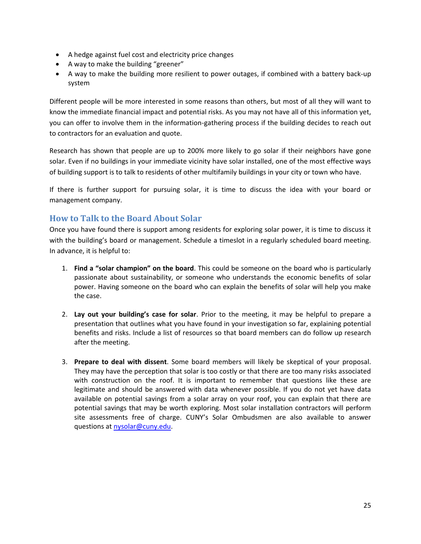- A hedge against fuel cost and electricity price changes
- A way to make the building "greener"
- A way to make the building more resilient to power outages, if combined with a battery back-up system

Different people will be more interested in some reasons than others, but most of all they will want to know the immediate financial impact and potential risks. As you may not have all of this information yet, you can offer to involve them in the information-gathering process if the building decides to reach out to contractors for an evaluation and quote.

Research has shown that people are up to 200% more likely to go solar if their neighbors have gone solar. Even if no buildings in your immediate vicinity have solar installed, one of the most effective ways of building support is to talk to residents of other multifamily buildings in your city or town who have.

If there is further support for pursuing solar, it is time to discuss the idea with your board or management company.

## <span id="page-24-0"></span>**How to Talk to the Board About Solar**

Once you have found there is support among residents for exploring solar power, it is time to discuss it with the building's board or management. Schedule a timeslot in a regularly scheduled board meeting. In advance, it is helpful to:

- 1. **Find a "solar champion" on the board**. This could be someone on the board who is particularly passionate about sustainability, or someone who understands the economic benefits of solar power. Having someone on the board who can explain the benefits of solar will help you make the case.
- 2. **Lay out your building's case for solar**. Prior to the meeting, it may be helpful to prepare a presentation that outlines what you have found in your investigation so far, explaining potential benefits and risks. Include a list of resources so that board members can do follow up research after the meeting.
- 3. **Prepare to deal with dissent**. Some board members will likely be skeptical of your proposal. They may have the perception that solar is too costly or that there are too many risks associated with construction on the roof. It is important to remember that questions like these are legitimate and should be answered with data whenever possible. If you do not yet have data available on potential savings from a solar array on your roof, you can explain that there are potential savings that may be worth exploring. Most solar installation contractors will perform site assessments free of charge. CUNY's Solar Ombudsmen are also available to answer questions at [nysolar@cuny.edu.](mailto:nysolar@cuny.edu?subject=Multifamily%20Solar%20Question)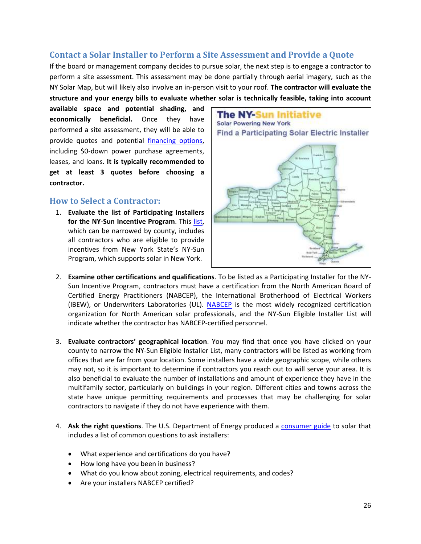## <span id="page-25-0"></span>**Contact a Solar Installer to Perform a Site Assessment and Provide a Quote**

If the board or management company decides to pursue solar, the next step is to engage a contractor to perform a site assessment. This assessment may be done partially through aerial imagery, such as the NY Solar Map, but will likely also involve an in-person visit to your roof. **The contractor will evaluate the structure and your energy bills to evaluate whether solar is technically feasible, taking into account** 

**available space and potential shading, and economically beneficial.** Once they have performed a site assessment, they will be able to provide quotes and potential [financing options,](#page-19-2) including \$0-down power purchase agreements, leases, and loans. **It is typically recommended to get at least 3 quotes before choosing a contractor.**

#### <span id="page-25-1"></span>**How to Select a Contractor:**

1. **Evaluate the list of Participating Installers**  for the NY-Sun Incentive Program. This [list,](http://ny-sun.ny.gov/Get-Solar/Find-A-Solar-Electric-Installer.aspx) which can be narrowed by county, includes all contractors who are eligible to provide incentives from New York State's NY-Sun Program, which supports solar in New York.



- 2. **Examine other certifications and qualifications**. To be listed as a Participating Installer for the NY-Sun Incentive Program, contractors must have a certification from the North American Board of Certified Energy Practitioners (NABCEP), the International Brotherhood of Electrical Workers (IBEW), or Underwriters Laboratories (UL). [NABCEP](http://www.nabcep.org/) is the most widely recognized certification organization for North American solar professionals, and the NY-Sun Eligible Installer List will indicate whether the contractor has NABCEP-certified personnel.
- 3. **Evaluate contractors' geographical location**. You may find that once you have clicked on your county to narrow the NY-Sun Eligible Installer List, many contractors will be listed as working from offices that are far from your location. Some installers have a wide geographic scope, while others may not, so it is important to determine if contractors you reach out to will serve your area. It is also beneficial to evaluate the number of installations and amount of experience they have in the multifamily sector, particularly on buildings in your region. Different cities and towns across the state have unique permitting requirements and processes that may be challenging for solar contractors to navigate if they do not have experience with them.
- 4. **Ask the right questions**. The U.S. Department of Energy produced a [consumer guide](https://www1.eere.energy.gov/solar/pdfs/43844.pdf) to solar that includes a list of common questions to ask installers:
	- What experience and certifications do you have?
	- How long have you been in business?
	- What do you know about zoning, electrical requirements, and codes?
	- Are your installers NABCEP certified?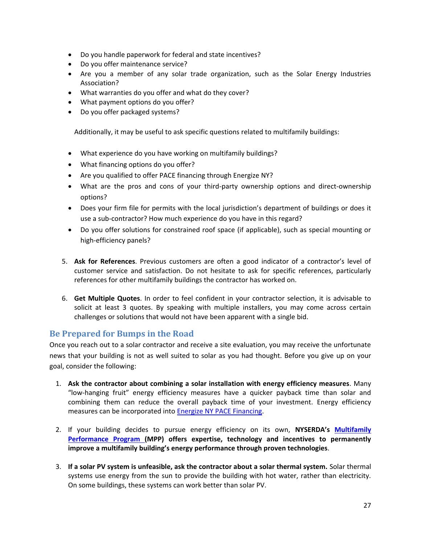- Do you handle paperwork for federal and state incentives?
- Do you offer maintenance service?
- Are you a member of any solar trade organization, such as the Solar Energy Industries Association?
- What warranties do you offer and what do they cover?
- What payment options do you offer?
- Do you offer packaged systems?

Additionally, it may be useful to ask specific questions related to multifamily buildings:

- What experience do you have working on multifamily buildings?
- What financing options do you offer?
- Are you qualified to offer PACE financing through Energize NY?
- What are the pros and cons of your third-party ownership options and direct-ownership options?
- Does your firm file for permits with the local jurisdiction's department of buildings or does it use a sub-contractor? How much experience do you have in this regard?
- Do you offer solutions for constrained roof space (if applicable), such as special mounting or high-efficiency panels?
- 5. **Ask for References**. Previous customers are often a good indicator of a contractor's level of customer service and satisfaction. Do not hesitate to ask for specific references, particularly references for other multifamily buildings the contractor has worked on.
- 6. **Get Multiple Quotes**. In order to feel confident in your contractor selection, it is advisable to solicit at least 3 quotes. By speaking with multiple installers, you may come across certain challenges or solutions that would not have been apparent with a single bid.

#### <span id="page-26-0"></span>**Be Prepared for Bumps in the Road**

Once you reach out to a solar contractor and receive a site evaluation, you may receive the unfortunate news that your building is not as well suited to solar as you had thought. Before you give up on your goal, consider the following:

- 1. **Ask the contractor about combining a solar installation with energy efficiency measures**. Many "low-hanging fruit" energy efficiency measures have a quicker payback time than solar and combining them can reduce the overall payback time of your investment. Energy efficiency measures can be incorporated into [Energize NY PACE Financing.](#page-20-1)
- 2. If your building decides to pursue energy efficiency on its own, **NYSERDA's [Multifamily](http://www.nyserda.ny.gov/Energy-Efficiency-and-Renewable-Programs/Multifamily-Performance-Program/Multifamily-Performance-Program.aspx)  [Performance Program \(](http://www.nyserda.ny.gov/Energy-Efficiency-and-Renewable-Programs/Multifamily-Performance-Program/Multifamily-Performance-Program.aspx)MPP) offers expertise, technology and incentives to permanently improve a multifamily building's energy performance through proven technologies**.
- 3. **If a solar PV system is unfeasible, ask the contractor about a solar thermal system.** Solar thermal systems use energy from the sun to provide the building with hot water, rather than electricity. On some buildings, these systems can work better than solar PV.